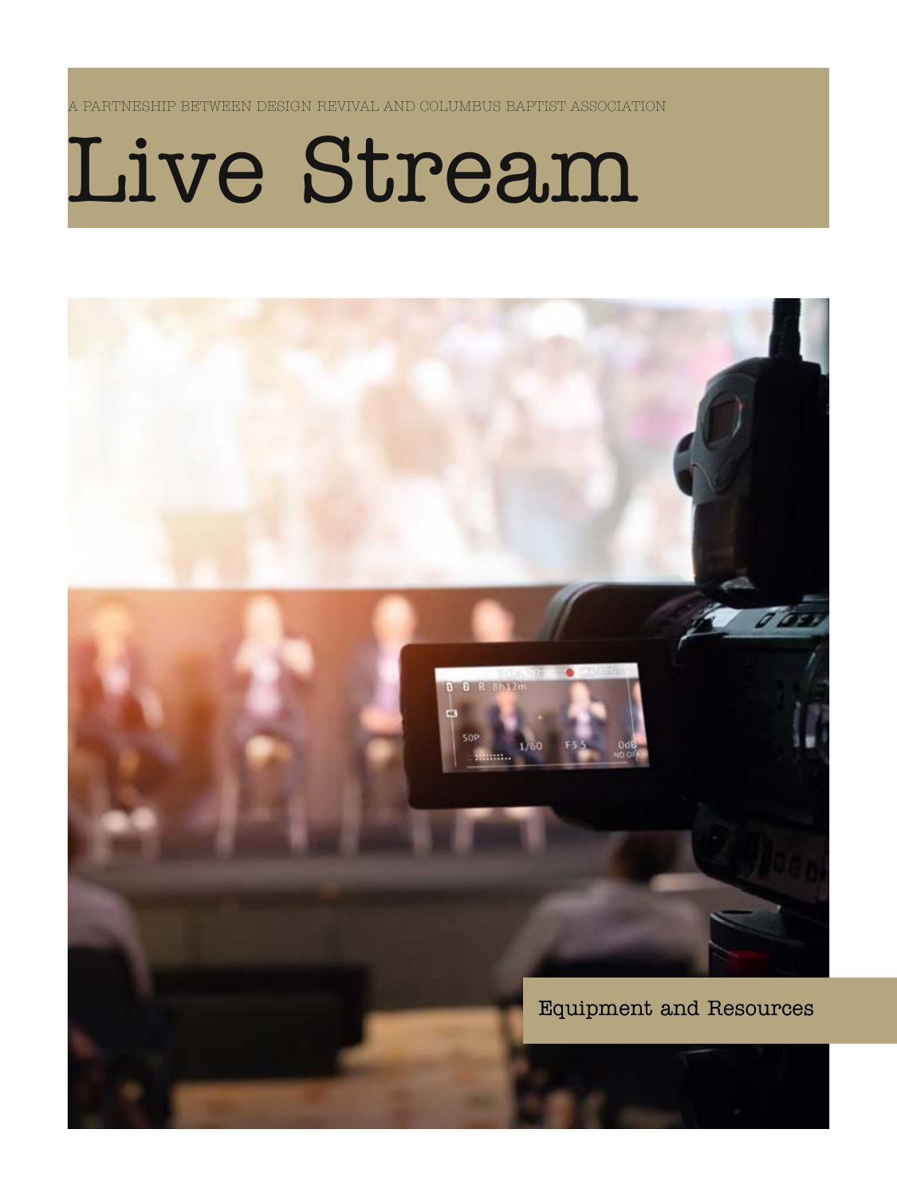A PARTNESHIP BETWEEN DESIGN REVIVAL AND COLUMBUS BAPTIST ASSOCIATION

# Live Stream

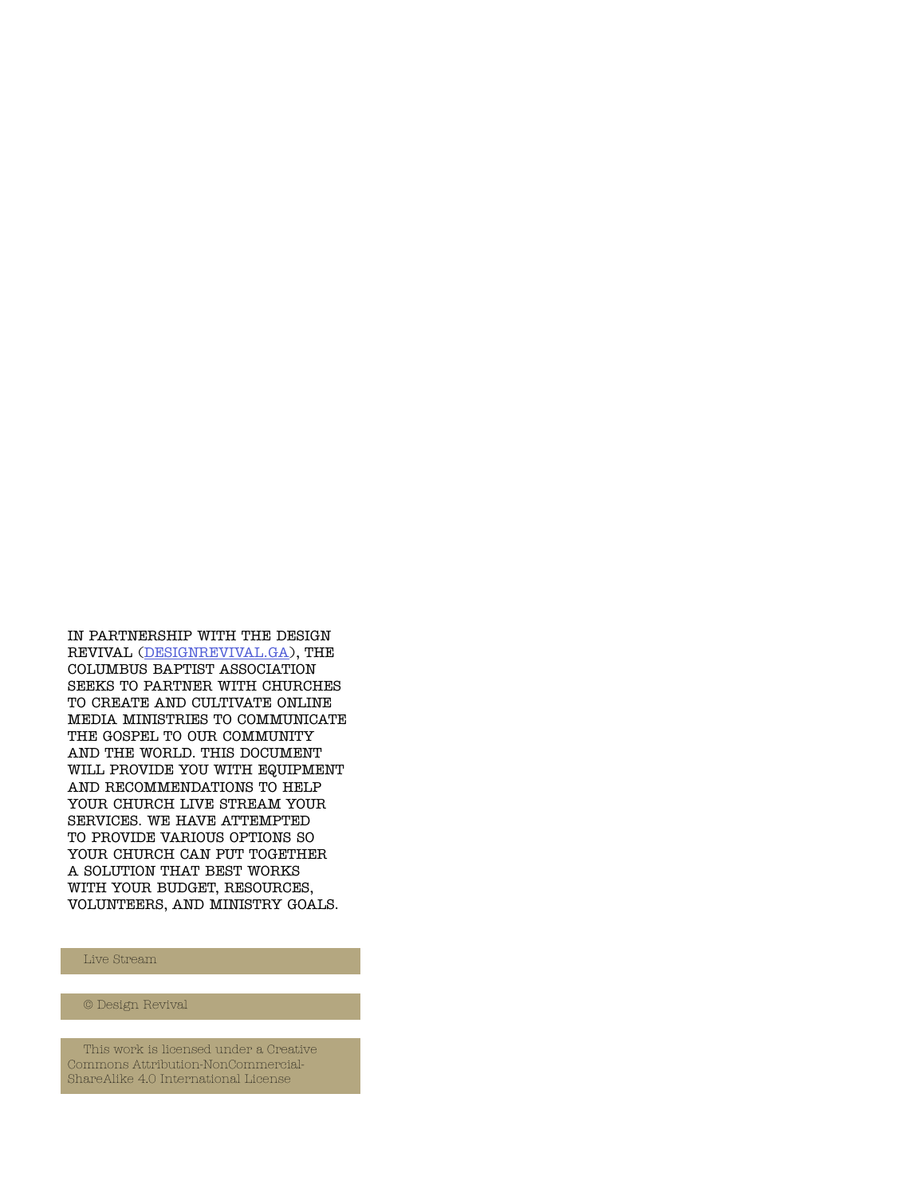IN PARTNERSHIP WITH THE DESIGN REVIVAL ([DESIGNREVIVAL.GA\)](http://designrevival.ga), THE COLUMBUS BAPTIST ASSOCIATION SEEKS TO PARTNER WITH CHURCHES TO CREATE AND CULTIVATE ONLINE MEDIA MINISTRIES TO COMMUNICATE THE GOSPEL TO OUR COMMUNITY AND THE WORLD. THIS DOCUMENT WILL PROVIDE YOU WITH EQUIPMENT AND RECOMMENDATIONS TO HELP YOUR CHURCH LIVE STREAM YOUR SERVICES. WE HAVE ATTEMPTED TO PROVIDE VARIOUS OPTIONS SO YOUR CHURCH CAN PUT TOGETHER A SOLUTION THAT BEST WORKS WITH YOUR BUDGET, RESOURCES, VOLUNTEERS, AND MINISTRY GOALS.

#### Live Stream

© Design Revival

This work is licensed under a Creative Commons Attribution-NonCommercial-ShareAlike 4.0 International License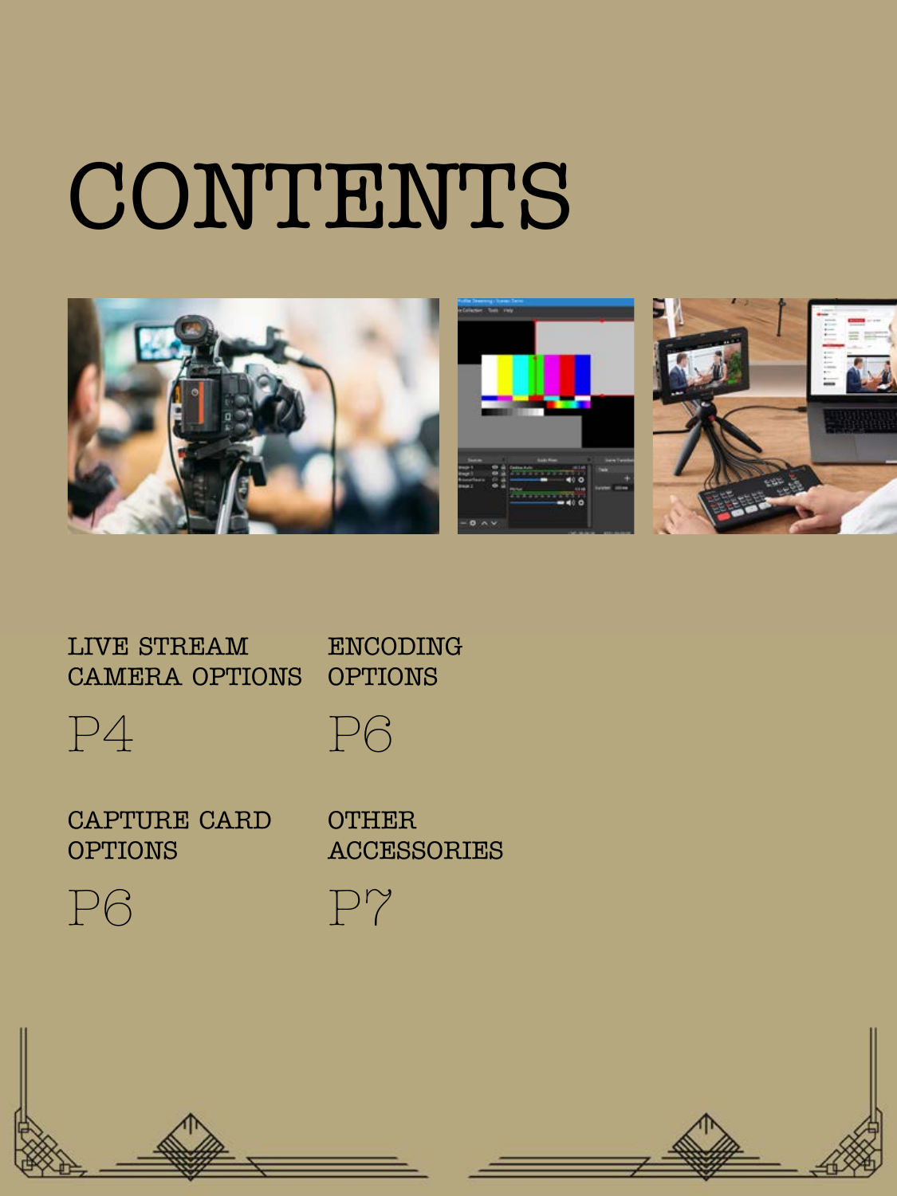# CONTENTS



LIVE STREAM CAMERA OPTIONS ENCODING OPTIONS





CAPTURE CARD OPTIONS

**OTHER ACCESSORIES** 



P7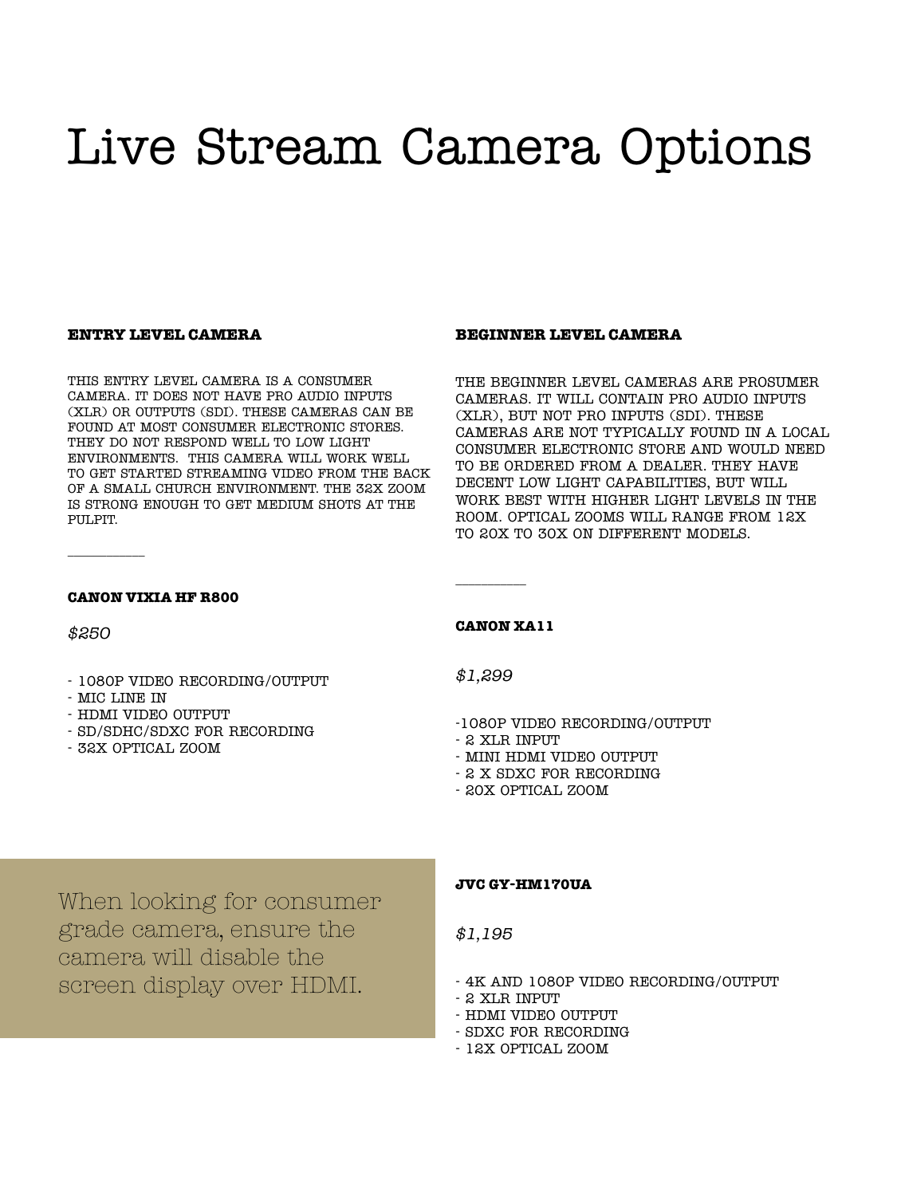## Live Stream Camera Options

#### **ENTRY LEVEL CAMERA**

THIS ENTRY LEVEL CAMERA IS A CONSUMER CAMERA. IT DOES NOT HAVE PRO AUDIO INPUTS (XLR) OR OUTPUTS (SDI). THESE CAMERAS CAN BE FOUND AT MOST CONSUMER ELECTRONIC STORES. THEY DO NOT RESPOND WELL TO LOW LIGHT ENVIRONMENTS. THIS CAMERA WILL WORK WELL TO GET STARTED STREAMING VIDEO FROM THE BACK OF A SMALL CHURCH ENVIRONMENT. THE 32X ZOOM IS STRONG ENOUGH TO GET MEDIUM SHOTS AT THE PULPIT.

#### **BEGINNER LEVEL CAMERA**

THE BEGINNER LEVEL CAMERAS ARE PROSUMER CAMERAS. IT WILL CONTAIN PRO AUDIO INPUTS (XLR), BUT NOT PRO INPUTS (SDI). THESE CAMERAS ARE NOT TYPICALLY FOUND IN A LOCAL CONSUMER ELECTRONIC STORE AND WOULD NEED TO BE ORDERED FROM A DEALER. THEY HAVE DECENT LOW LIGHT CAPABILITIES, BUT WILL WORK BEST WITH HIGHER LIGHT LEVELS IN THE ROOM. OPTICAL ZOOMS WILL RANGE FROM 12X TO 20X TO 30X ON DIFFERENT MODELS.

#### **CANON VIXIA HF R800**

*\$250*

\_\_\_\_\_\_\_\_\_\_\_\_

- 1080P VIDEO RECORDING/OUTPUT
- MIC LINE IN
- HDMI VIDEO OUTPUT
- SD/SDHC/SDXC FOR RECORDING
- 32X OPTICAL ZOOM

#### **CANON XA11**

\_\_\_\_\_\_\_\_\_\_\_

*\$1,299*

- -1080P VIDEO RECORDING/OUTPUT
- 2 XLR INPUT
- MINI HDMI VIDEO OUTPUT
- 2 X SDXC FOR RECORDING
- 20X OPTICAL ZOOM

When looking for consumer grade camera, ensure the camera will disable the screen display over HDMI.

#### **JVC GY-HM170UA**

*\$1,195*

- 4K AND 1080P VIDEO RECORDING/OUTPUT
- 2 XLR INPUT
- HDMI VIDEO OUTPUT
- SDXC FOR RECORDING
- 12X OPTICAL ZOOM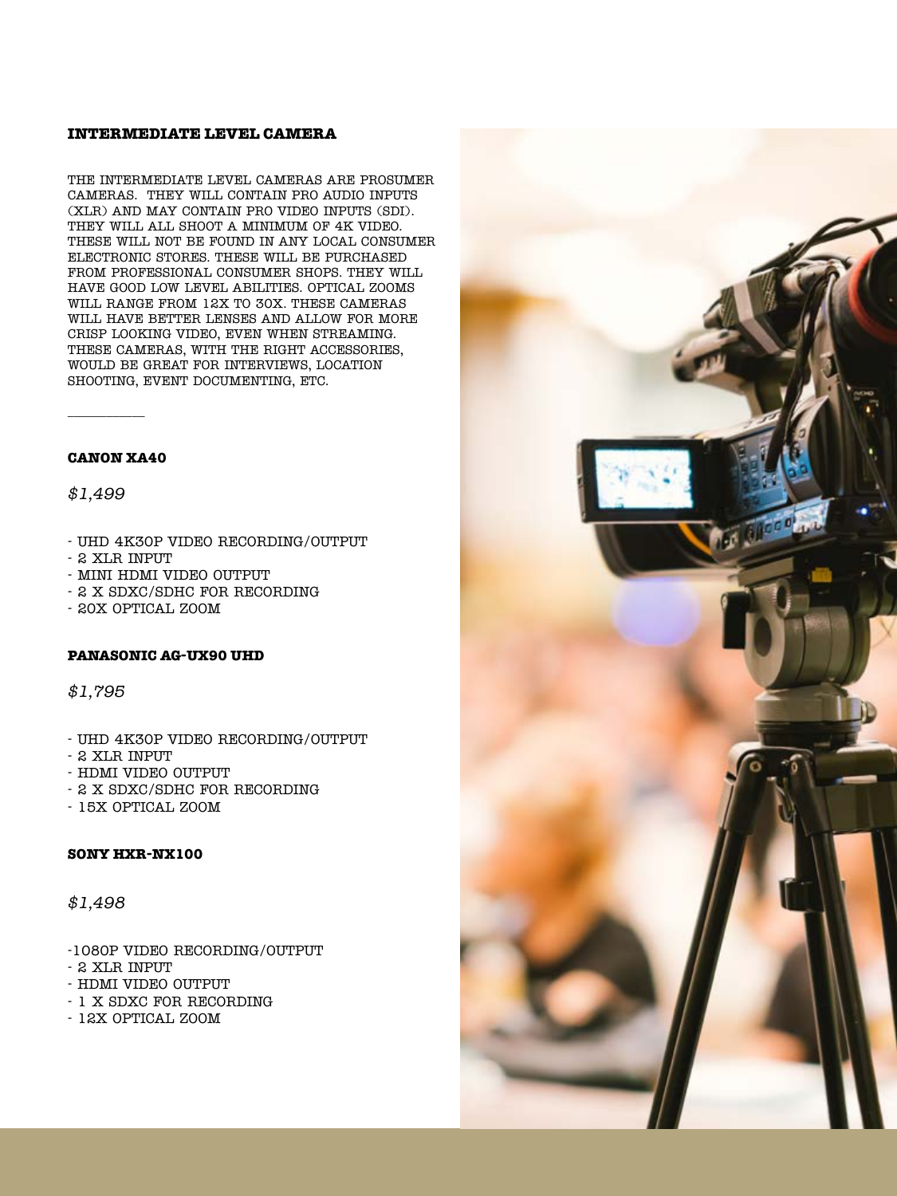#### **INTERMEDIATE LEVEL CAMERA**

THE INTERMEDIATE LEVEL CAMERAS ARE PROSUMER CAMERAS. THEY WILL CONTAIN PRO AUDIO INPUTS (XLR) AND MAY CONTAIN PRO VIDEO INPUTS (SDI). THEY WILL ALL SHOOT A MINIMUM OF 4K VIDEO. THESE WILL NOT BE FOUND IN ANY LOCAL CONSUMER ELECTRONIC STORES. THESE WILL BE PURCHASED FROM PROFESSIONAL CONSUMER SHOPS. THEY WILL HAVE GOOD LOW LEVEL ABILITIES. OPTICAL ZOOMS WILL RANGE FROM 12X TO 30X. THESE CAMERAS WILL HAVE BETTER LENSES AND ALLOW FOR MORE CRISP LOOKING VIDEO, EVEN WHEN STREAMING. THESE CAMERAS, WITH THE RIGHT ACCESSORIES, WOULD BE GREAT FOR INTERVIEWS, LOCATION SHOOTING, EVENT DOCUMENTING, ETC.

#### **CANON XA40**

\_\_\_\_\_\_\_\_\_\_\_\_

*\$1,499*

- UHD 4K30P VIDEO RECORDING/OUTPUT
- 2 XLR INPUT
- MINI HDMI VIDEO OUTPUT
- 2 X SDXC/SDHC FOR RECORDING
- 20X OPTICAL ZOOM

#### **PANASONIC AG-UX90 UHD**

*\$1,795*

- UHD 4K30P VIDEO RECORDING/OUTPUT
- 2 XLR INPUT
- HDMI VIDEO OUTPUT
- 2 X SDXC/SDHC FOR RECORDING
- 15X OPTICAL ZOOM

#### **SONY HXR-NX100**

*\$1,498*

- -1080P VIDEO RECORDING/OUTPUT
- 2 XLR INPUT
- HDMI VIDEO OUTPUT
- 1 X SDXC FOR RECORDING
- 12X OPTICAL ZOOM

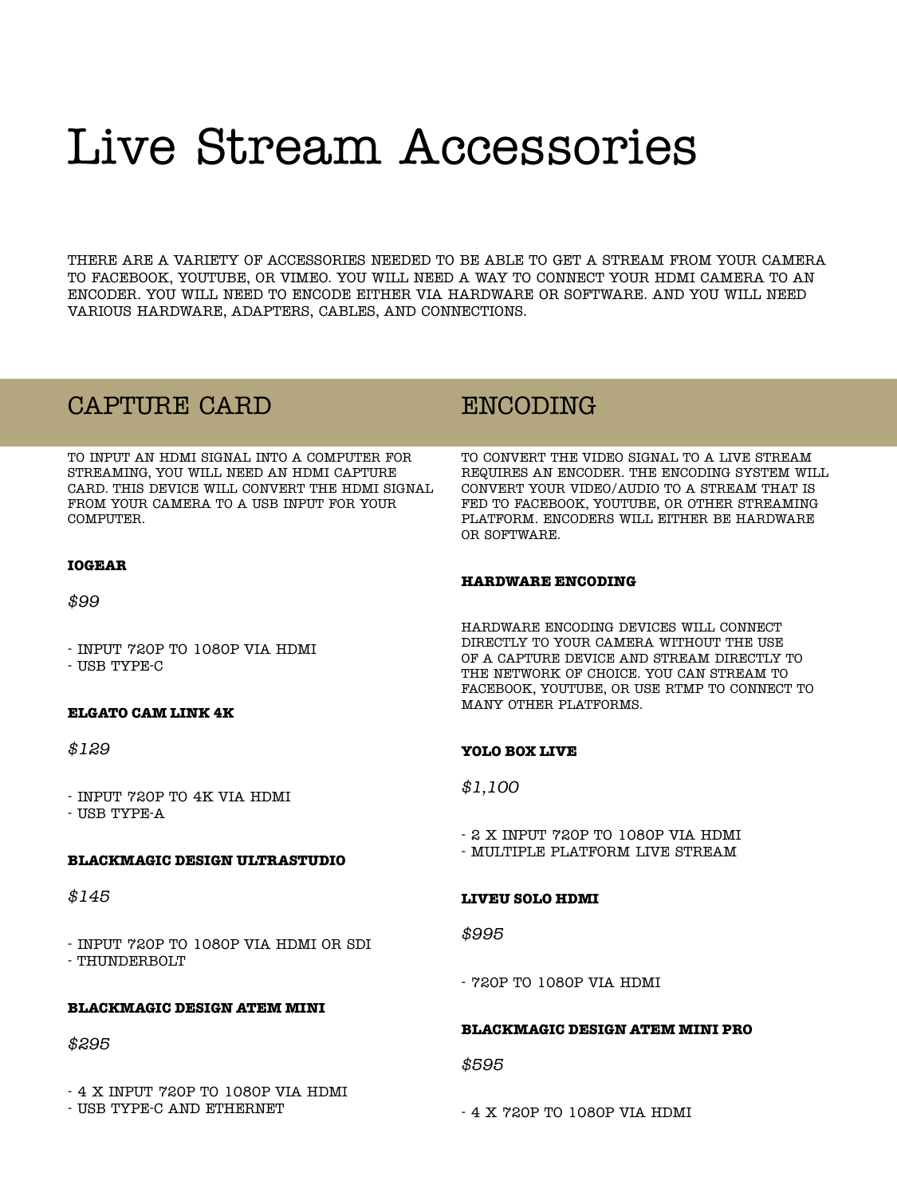## Live Stream Accessories

THERE ARE A VARIETY OF ACCESSORIES NEEDED TO BE ABLE TO GET A STREAM FROM YOUR CAMERA TO FACEBOOK, YOUTUBE, OR VIMEO. YOU WILL NEED A WAY TO CONNECT YOUR HDMI CAMERA TO AN ENCODER. YOU WILL NEED TO ENCODE EITHER VIA HARDWARE OR SOFTWARE. AND YOU WILL NEED VARIOUS HARDWARE, ADAPTERS, CABLES, AND CONNECTIONS.

### CAPTURE CARD

TO INPUT AN HDMI SIGNAL INTO A COMPUTER FOR STREAMING, YOU WILL NEED AN HDMI CAPTURE CARD. THIS DEVICE WILL CONVERT THE HDMI SIGNAL FROM YOUR CAMERA TO A USB INPUT FOR YOUR COMPUTER.

#### **IOGEAR**

*\$99*

- INPUT 720P TO 1080P VIA HDMI - USB TYPE-C

**ELGATO CAM LINK 4K**

*\$129*

- INPUT 720P TO 4K VIA HDMI - USB TYPE-A

#### **BLACKMAGIC DESIGN ULTRASTUDIO**

*\$145*

- INPUT 720P TO 1080P VIA HDMI OR SDI - THUNDERBOLT

#### **BLACKMAGIC DESIGN ATEM MINI**

#### *\$295*

- 4 X INPUT 720P TO 1080P VIA HDMI - USB TYPE-C AND ETHERNET

### ENCODING

TO CONVERT THE VIDEO SIGNAL TO A LIVE STREAM REQUIRES AN ENCODER. THE ENCODING SYSTEM WILL CONVERT YOUR VIDEO/AUDIO TO A STREAM THAT IS FED TO FACEBOOK, YOUTUBE, OR OTHER STREAMING PLATFORM. ENCODERS WILL EITHER BE HARDWARE OR SOFTWARE.

#### **HARDWARE ENCODING**

HARDWARE ENCODING DEVICES WILL CONNECT DIRECTLY TO YOUR CAMERA WITHOUT THE USE OF A CAPTURE DEVICE AND STREAM DIRECTLY TO THE NETWORK OF CHOICE. YOU CAN STREAM TO FACEBOOK, YOUTUBE, OR USE RTMP TO CONNECT TO MANY OTHER PLATFORMS.

#### **YOLO BOX LIVE**

*\$1,100*

- 2 X INPUT 720P TO 1080P VIA HDMI
- MULTIPLE PLATFORM LIVE STREAM

#### **LIVEU SOLO HDMI**

*\$995*

- 720P TO 1080P VIA HDMI

#### **BLACKMAGIC DESIGN ATEM MINI PRO**

*\$595*

- 4 X 720P TO 1080P VIA HDMI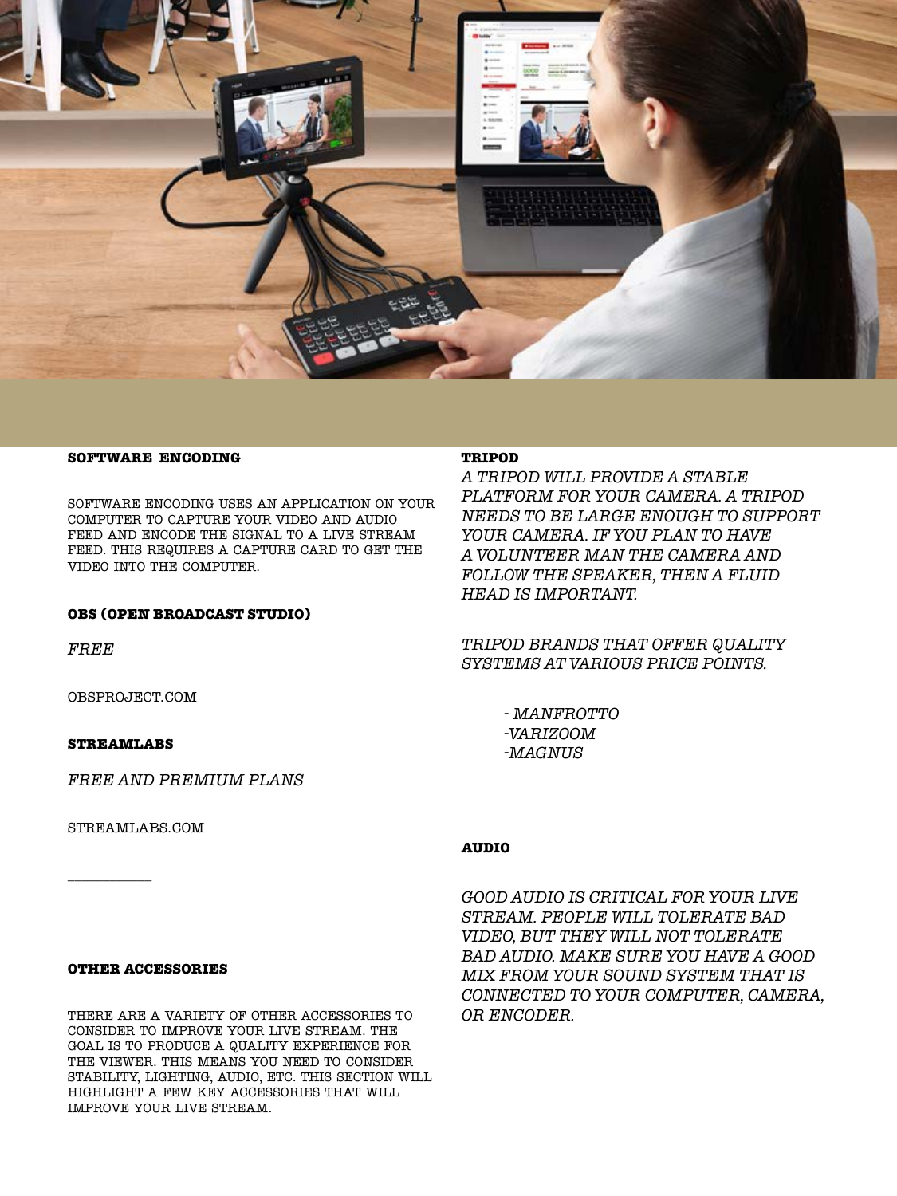

#### **SOFTWARE ENCODING**

SOFTWARE ENCODING USES AN APPLICATION ON YOUR COMPUTER TO CAPTURE YOUR VIDEO AND AUDIO FEED AND ENCODE THE SIGNAL TO A LIVE STREAM FEED. THIS REQUIRES A CAPTURE CARD TO GET THE VIDEO INTO THE COMPUTER.

#### **OBS (OPEN BROADCAST STUDIO)**

*FREE* 

OBSPROJECT.COM

#### **STREAMLABS**

*FREE AND PREMIUM PLANS*

STREAMLABS.COM

\_\_\_\_\_\_\_\_\_\_\_\_

#### **OTHER ACCESSORIES**

THERE ARE A VARIETY OF OTHER ACCESSORIES TO CONSIDER TO IMPROVE YOUR LIVE STREAM. THE GOAL IS TO PRODUCE A QUALITY EXPERIENCE FOR THE VIEWER. THIS MEANS YOU NEED TO CONSIDER STABILITY, LIGHTING, AUDIO, ETC. THIS SECTION WILL HIGHLIGHT A FEW KEY ACCESSORIES THAT WILL IMPROVE YOUR LIVE STREAM.

#### **TRIPOD**

*A TRIPOD WILL PROVIDE A STABLE PLATFORM FOR YOUR CAMERA. A TRIPOD NEEDS TO BE LARGE ENOUGH TO SUPPORT YOUR CAMERA. IF YOU PLAN TO HAVE A VOLUNTEER MAN THE CAMERA AND FOLLOW THE SPEAKER, THEN A FLUID HEAD IS IMPORTANT.*

*TRIPOD BRANDS THAT OFFER QUALITY SYSTEMS AT VARIOUS PRICE POINTS.* 

> *- MANFROTTO -VARIZOOM -MAGNUS*

#### **AUDIO**

*GOOD AUDIO IS CRITICAL FOR YOUR LIVE STREAM. PEOPLE WILL TOLERATE BAD VIDEO, BUT THEY WILL NOT TOLERATE BAD AUDIO. MAKE SURE YOU HAVE A GOOD MIX FROM YOUR SOUND SYSTEM THAT IS CONNECTED TO YOUR COMPUTER, CAMERA, OR ENCODER.*